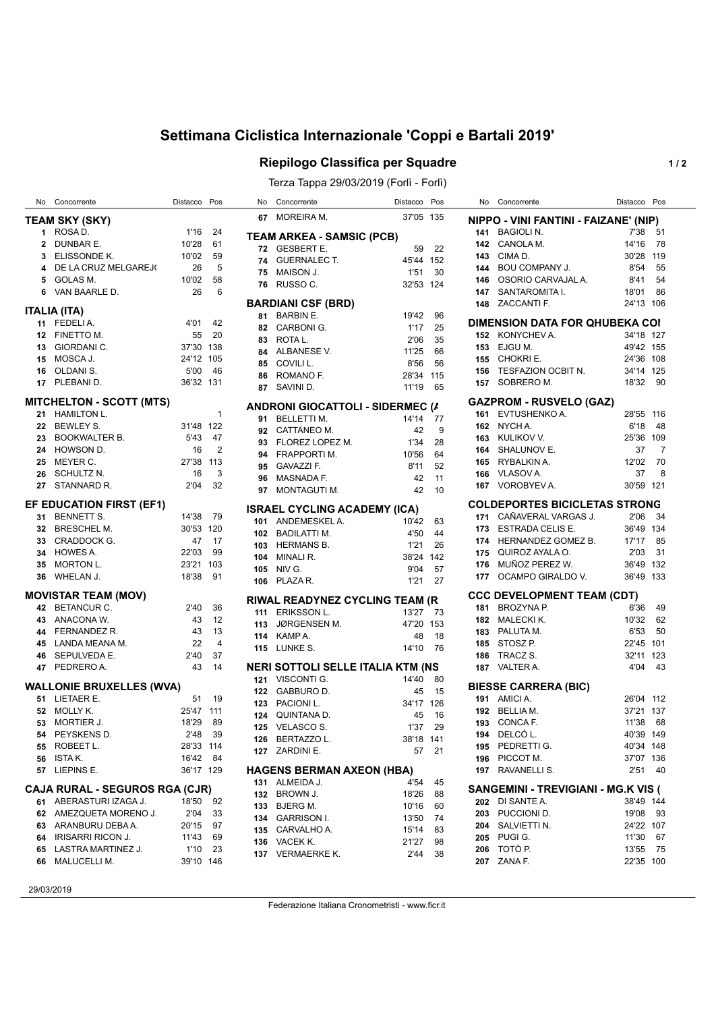## **Settimana Ciclistica Internazionale 'Coppi e Bartali 2019'**

## **Riepilogo Classifica per Squadre 1/2**

Terza Tappa 29/03/2019 (Forlì - Forlì)

| Distacco Pos<br>Distacco Pos<br>No Concorrente<br>MOREIRA M.<br>37'05 135<br>67<br>NIPPO - VINI FANTINI - FAIZANE' (NIP)<br><b>TEAM SKY (SKY)</b><br>1 ROSAD.<br>1'16 24<br><b>BAGIOLI N.</b><br>7'38 51<br>141<br><b>TEAM ARKEA - SAMSIC (PCB)</b><br>10'28<br>CANOLA M.<br>DUNBAR E.<br>61<br>14'16 78<br>142<br>$\mathbf{2}$<br>59 22<br>72 GESBERT E.<br>CIMA D.<br>ELISSONDE K.<br>10'02<br>59<br>30'28 119<br>143<br>3<br>74 GUERNALEC T.<br>45'44 152<br>26<br><b>BOU COMPANY J.</b><br>DE LA CRUZ MELGAREJ(<br>5<br>8'54<br>4<br>144<br>MAISON J.<br>1'51 30<br>75<br>GOLAS M.<br>10'02<br>58<br>OSORIO CARVAJAL A.<br>8'41<br>5<br>146<br>76 RUSSO C.<br>32'53 124<br>26<br>VAN BAARLE D.<br>6<br>SANTAROMITA I.<br>6<br>147<br><b>BARDIANI CSF (BRD)</b><br>ZACCANTI F.<br>148<br>81 BARBIN E.<br>19'42<br>96<br><b>DIMENSION DATA FOR QHUBEKA COI</b><br>11 FEDELIA.<br>4'01<br>42<br>CARBONI G.<br>1'17<br>25<br>82<br>12 FINETTO M.<br>55<br>20<br>152 KONYCHEV A.<br>34'18 127<br>ROTA L.<br>35<br>2'06<br>83<br>GIORDANI C.<br>37'30 138<br>EJGU M.<br>49'42 155<br>153<br>13<br>ALBANESE V.<br>11'25<br>66<br>84<br>MOSCA J.<br>24'12 105<br>CHOKRI E.<br>24'36 108<br>155<br>15<br>COVILI L.<br>8'56<br>56<br>85<br>OLDANI S.<br>5'00 46<br>TESFAZION OCBIT N.<br>34'14 125<br>16<br>156<br>ROMANO F.<br>28'34 115<br>86<br>PLEBANI D.<br>36'32 131<br>SOBRERO M.<br>18'32 90<br>157<br>17<br>savini d.<br>11'19 65<br>87<br><b>MITCHELTON - SCOTT (MTS)</b><br><b>GAZPROM - RUSVELO (GAZ)</b><br>ANDRONI GIOCATTOLI - SIDERMEC (A<br>161 EVTUSHENKO A.<br>21 HAMILTON L.<br>$\mathbf{1}$<br>91 BELLETTI M.<br>14'14 77<br>31'48 122<br>NYCH A.<br>BEWLEY S.<br>6'18<br>162<br>22<br>92 CATTANEO M.<br>42<br>9<br><b>BOOKWALTER B.</b><br>5'43 47<br>KULIKOV V.<br>25'36 109<br>163<br>23<br>FLOREZ LOPEZ M.<br>1'34<br>28<br>93<br>HOWSON D.<br>16<br>2<br>SHALUNOV E.<br>37<br>24<br>164<br>FRAPPORTI M.<br>10'56<br>64<br>94<br>27'38 113<br>12'02<br>MEYER C.<br>RYBALKIN A.<br>25<br>165<br>gavazzi f.<br>8'11<br>52<br>95<br>SCHULTZ N.<br>VLASOV A.<br>37<br>16<br>3<br>166<br>26<br>MASNADA F.<br>42<br>11<br>96<br>2'04<br>VOROBYEV A.<br>STANNARD R.<br>32<br>30'59 121<br>167<br>27<br>42<br>10<br>MONTAGUTI M.<br>97<br>EF EDUCATION FIRST (EF1)<br><b>COLDEPORTES BICICLETAS STRONG</b><br><b>ISRAEL CYCLING ACADEMY (ICA)</b><br>14'38 79<br>171 CAÑAVERAL VARGAS J.<br>BENNETT S.<br>31<br>101 ANDEMESKEL A.<br>10'42 63<br>BRESCHEL M.<br>30'53 120<br>ESTRADA CELIS E.<br>32<br>173<br>4'50<br>102 BADILATTI M.<br>44<br>CRADDOCK G.<br>47 17<br>HERNANDEZ GOMEZ B.<br>17'17 85<br>174<br>33<br>103 HERMANS B.<br>1'21<br>26<br>99<br>HOWES A.<br>22'03<br>QUIROZ AYALA O.<br>2'03<br>175<br>34<br>MINALI R.<br>38'24 142<br>104<br>MORTON L.<br>23'21 103<br>MUNOZ PEREZ W.<br>36'49 132<br>35<br>176<br>105 NIV G.<br>9'04<br>57<br>WHELAN J.<br>18'38<br>36'49 133<br>91<br>OCAMPO GIRALDO V.<br>36<br>177<br>106 PLAZA R.<br>27<br>1'21<br><b>MOVISTAR TEAM (MOV)</b><br><b>CCC DEVELOPMENT TEAM (CDT)</b><br>RIWAL READYNEZ CYCLING TEAM (R<br><b>BETANCUR C.</b><br>2'40<br>181 BROZYNA P.<br>36<br>42<br>111 ERIKSSON L.<br>13'27 73<br>ANACONA W.<br>43<br>MALECKI K.<br>- 12<br>182<br>43<br>113 JØRGENSEN M.<br>47'20 153<br>FERNANDEZ R.<br>43<br>13<br>PALUTA M.<br>183<br>44<br><b>114 KAMP A.</b><br>48<br>18<br>22<br>STOSZ P.<br>LANDA MEANA M.<br>$\overline{4}$<br>185<br>45<br><b>115</b> LUNKE S.<br>14'10 76<br>2'40<br>TRACZ S.<br>SEPULVEDA E.<br>37<br>186<br>46<br>PEDRERO A.<br>43<br><b>NERI SOTTOLI SELLE ITALIA KTM (NS</b><br>187 VALTER A.<br>14<br>47<br>121 VISCONTI G.<br>14'40 80<br><b>BIESSE CARRERA (BIC)</b><br>122 GABBURO D.<br>45 15<br>51 LIETAER E.<br>191 AMICIA.<br>51 19<br>26'04 112<br>123 PACIONI L.<br>34'17 126<br>52 MOLLY K.<br>25'47 111<br>BELLIA M.<br>192<br>124 QUINTANA D.<br>45<br>16<br>18'29<br>53 MORTIER J.<br>89<br>193 CONCA F.<br>1'37<br>125 VELASCO S.<br>29<br>194 DELCÓ L.<br>54 PEYSKENS D.<br>2'48 39<br>126 BERTAZZO L.<br>38'18 141<br>28'33 114<br>PEDRETTI G.<br>ROBEET L.<br>55<br>195<br>127 ZARDINI E.<br>57 21<br>ISTA K.<br>16'42 84<br>PICCOT M.<br>56<br>196<br>57 LIEPINS E.<br>36'17 129<br><b>HAGENS BERMAN AXEON (HBA)</b><br>197 RAVANELLI S.<br>131 ALMEIDA J.<br>4'54 45<br><b>SANGEMINI - TREVIGIANI - MG.K VIS (</b><br><b>132 BROWN J.</b><br>18'26 88<br>61 ABERASTURI IZAGA J.<br>18'50 92<br><b>202</b> DI SANTE A.<br>38'49 144<br><b>133 BJERG M.</b><br>10'16 60<br>62 AMEZQUETA MORENO J.<br>203 PUCCIONI D.<br>2'04 33<br>134 GARRISON I.<br>13'50 74<br>ARANBURU DEBA A.<br>20'15 97<br>SALVIETTI N.<br>63<br>204<br>135 CARVALHO A.<br>15'14<br>83<br>PUGI G.<br><b>IRISARRI RICON J.</b><br>11'43 69<br>205<br>64<br>136 VACEK K.<br>21'27<br>98<br>TOTÒ P.<br>LASTRA MARTINEZ J.<br>1'10 23<br>206<br>65<br>137 VERMAERKE K.<br>2'44 38 |              |  |     |             |  |                |              |      |
|--------------------------------------------------------------------------------------------------------------------------------------------------------------------------------------------------------------------------------------------------------------------------------------------------------------------------------------------------------------------------------------------------------------------------------------------------------------------------------------------------------------------------------------------------------------------------------------------------------------------------------------------------------------------------------------------------------------------------------------------------------------------------------------------------------------------------------------------------------------------------------------------------------------------------------------------------------------------------------------------------------------------------------------------------------------------------------------------------------------------------------------------------------------------------------------------------------------------------------------------------------------------------------------------------------------------------------------------------------------------------------------------------------------------------------------------------------------------------------------------------------------------------------------------------------------------------------------------------------------------------------------------------------------------------------------------------------------------------------------------------------------------------------------------------------------------------------------------------------------------------------------------------------------------------------------------------------------------------------------------------------------------------------------------------------------------------------------------------------------------------------------------------------------------------------------------------------------------------------------------------------------------------------------------------------------------------------------------------------------------------------------------------------------------------------------------------------------------------------------------------------------------------------------------------------------------------------------------------------------------------------------------------------------------------------------------------------------------------------------------------------------------------------------------------------------------------------------------------------------------------------------------------------------------------------------------------------------------------------------------------------------------------------------------------------------------------------------------------------------------------------------------------------------------------------------------------------------------------------------------------------------------------------------------------------------------------------------------------------------------------------------------------------------------------------------------------------------------------------------------------------------------------------------------------------------------------------------------------------------------------------------------------------------------------------------------------------------------------------------------------------------------------------------------------------------------------------------------------------------------------------------------------------------------------------------------------------------------------------------------------------------------------------------------------------------------------------------------------------------------------------------------------------------------------------------------------------------------------------------------------------------------------------------------------------------------------------------------------------------------------------------------------------------------------------------------------------------------------------------------------------------------------------------------------------------------------------------------------------------------------------------------------------------------------------------------------------------------------------------------------------------------------------------------------------------------------------------------------------------------------------------|--------------|--|-----|-------------|--|----------------|--------------|------|
| <b>ITALIA (ITA)</b><br><b>WALLONIE BRUXELLES (WVA)</b><br><b>CAJA RURAL - SEGUROS RGA (CJR)</b>                                                                                                                                                                                                                                                                                                                                                                                                                                                                                                                                                                                                                                                                                                                                                                                                                                                                                                                                                                                                                                                                                                                                                                                                                                                                                                                                                                                                                                                                                                                                                                                                                                                                                                                                                                                                                                                                                                                                                                                                                                                                                                                                                                                                                                                                                                                                                                                                                                                                                                                                                                                                                                                                                                                                                                                                                                                                                                                                                                                                                                                                                                                                                                                                                                                                                                                                                                                                                                                                                                                                                                                                                                                                                                                                                                                                                                                                                                                                                                                                                                                                                                                                                                                                                                                                                                                                                                                                                                                                                                                                                                                                                                                                                                                                                                                      |              |  | No. | Concorrente |  | No Concorrente | Distacco Pos |      |
|                                                                                                                                                                                                                                                                                                                                                                                                                                                                                                                                                                                                                                                                                                                                                                                                                                                                                                                                                                                                                                                                                                                                                                                                                                                                                                                                                                                                                                                                                                                                                                                                                                                                                                                                                                                                                                                                                                                                                                                                                                                                                                                                                                                                                                                                                                                                                                                                                                                                                                                                                                                                                                                                                                                                                                                                                                                                                                                                                                                                                                                                                                                                                                                                                                                                                                                                                                                                                                                                                                                                                                                                                                                                                                                                                                                                                                                                                                                                                                                                                                                                                                                                                                                                                                                                                                                                                                                                                                                                                                                                                                                                                                                                                                                                                                                                                                                                                      |              |  |     |             |  |                |              |      |
|                                                                                                                                                                                                                                                                                                                                                                                                                                                                                                                                                                                                                                                                                                                                                                                                                                                                                                                                                                                                                                                                                                                                                                                                                                                                                                                                                                                                                                                                                                                                                                                                                                                                                                                                                                                                                                                                                                                                                                                                                                                                                                                                                                                                                                                                                                                                                                                                                                                                                                                                                                                                                                                                                                                                                                                                                                                                                                                                                                                                                                                                                                                                                                                                                                                                                                                                                                                                                                                                                                                                                                                                                                                                                                                                                                                                                                                                                                                                                                                                                                                                                                                                                                                                                                                                                                                                                                                                                                                                                                                                                                                                                                                                                                                                                                                                                                                                                      |              |  |     |             |  |                |              |      |
|                                                                                                                                                                                                                                                                                                                                                                                                                                                                                                                                                                                                                                                                                                                                                                                                                                                                                                                                                                                                                                                                                                                                                                                                                                                                                                                                                                                                                                                                                                                                                                                                                                                                                                                                                                                                                                                                                                                                                                                                                                                                                                                                                                                                                                                                                                                                                                                                                                                                                                                                                                                                                                                                                                                                                                                                                                                                                                                                                                                                                                                                                                                                                                                                                                                                                                                                                                                                                                                                                                                                                                                                                                                                                                                                                                                                                                                                                                                                                                                                                                                                                                                                                                                                                                                                                                                                                                                                                                                                                                                                                                                                                                                                                                                                                                                                                                                                                      |              |  |     |             |  |                |              |      |
|                                                                                                                                                                                                                                                                                                                                                                                                                                                                                                                                                                                                                                                                                                                                                                                                                                                                                                                                                                                                                                                                                                                                                                                                                                                                                                                                                                                                                                                                                                                                                                                                                                                                                                                                                                                                                                                                                                                                                                                                                                                                                                                                                                                                                                                                                                                                                                                                                                                                                                                                                                                                                                                                                                                                                                                                                                                                                                                                                                                                                                                                                                                                                                                                                                                                                                                                                                                                                                                                                                                                                                                                                                                                                                                                                                                                                                                                                                                                                                                                                                                                                                                                                                                                                                                                                                                                                                                                                                                                                                                                                                                                                                                                                                                                                                                                                                                                                      |              |  |     |             |  |                |              |      |
|                                                                                                                                                                                                                                                                                                                                                                                                                                                                                                                                                                                                                                                                                                                                                                                                                                                                                                                                                                                                                                                                                                                                                                                                                                                                                                                                                                                                                                                                                                                                                                                                                                                                                                                                                                                                                                                                                                                                                                                                                                                                                                                                                                                                                                                                                                                                                                                                                                                                                                                                                                                                                                                                                                                                                                                                                                                                                                                                                                                                                                                                                                                                                                                                                                                                                                                                                                                                                                                                                                                                                                                                                                                                                                                                                                                                                                                                                                                                                                                                                                                                                                                                                                                                                                                                                                                                                                                                                                                                                                                                                                                                                                                                                                                                                                                                                                                                                      |              |  |     |             |  |                |              | 55   |
|                                                                                                                                                                                                                                                                                                                                                                                                                                                                                                                                                                                                                                                                                                                                                                                                                                                                                                                                                                                                                                                                                                                                                                                                                                                                                                                                                                                                                                                                                                                                                                                                                                                                                                                                                                                                                                                                                                                                                                                                                                                                                                                                                                                                                                                                                                                                                                                                                                                                                                                                                                                                                                                                                                                                                                                                                                                                                                                                                                                                                                                                                                                                                                                                                                                                                                                                                                                                                                                                                                                                                                                                                                                                                                                                                                                                                                                                                                                                                                                                                                                                                                                                                                                                                                                                                                                                                                                                                                                                                                                                                                                                                                                                                                                                                                                                                                                                                      |              |  |     |             |  |                |              | 54   |
|                                                                                                                                                                                                                                                                                                                                                                                                                                                                                                                                                                                                                                                                                                                                                                                                                                                                                                                                                                                                                                                                                                                                                                                                                                                                                                                                                                                                                                                                                                                                                                                                                                                                                                                                                                                                                                                                                                                                                                                                                                                                                                                                                                                                                                                                                                                                                                                                                                                                                                                                                                                                                                                                                                                                                                                                                                                                                                                                                                                                                                                                                                                                                                                                                                                                                                                                                                                                                                                                                                                                                                                                                                                                                                                                                                                                                                                                                                                                                                                                                                                                                                                                                                                                                                                                                                                                                                                                                                                                                                                                                                                                                                                                                                                                                                                                                                                                                      |              |  |     |             |  |                | 18'01        | 86   |
|                                                                                                                                                                                                                                                                                                                                                                                                                                                                                                                                                                                                                                                                                                                                                                                                                                                                                                                                                                                                                                                                                                                                                                                                                                                                                                                                                                                                                                                                                                                                                                                                                                                                                                                                                                                                                                                                                                                                                                                                                                                                                                                                                                                                                                                                                                                                                                                                                                                                                                                                                                                                                                                                                                                                                                                                                                                                                                                                                                                                                                                                                                                                                                                                                                                                                                                                                                                                                                                                                                                                                                                                                                                                                                                                                                                                                                                                                                                                                                                                                                                                                                                                                                                                                                                                                                                                                                                                                                                                                                                                                                                                                                                                                                                                                                                                                                                                                      |              |  |     |             |  |                | 24'13 106    |      |
|                                                                                                                                                                                                                                                                                                                                                                                                                                                                                                                                                                                                                                                                                                                                                                                                                                                                                                                                                                                                                                                                                                                                                                                                                                                                                                                                                                                                                                                                                                                                                                                                                                                                                                                                                                                                                                                                                                                                                                                                                                                                                                                                                                                                                                                                                                                                                                                                                                                                                                                                                                                                                                                                                                                                                                                                                                                                                                                                                                                                                                                                                                                                                                                                                                                                                                                                                                                                                                                                                                                                                                                                                                                                                                                                                                                                                                                                                                                                                                                                                                                                                                                                                                                                                                                                                                                                                                                                                                                                                                                                                                                                                                                                                                                                                                                                                                                                                      |              |  |     |             |  |                |              |      |
|                                                                                                                                                                                                                                                                                                                                                                                                                                                                                                                                                                                                                                                                                                                                                                                                                                                                                                                                                                                                                                                                                                                                                                                                                                                                                                                                                                                                                                                                                                                                                                                                                                                                                                                                                                                                                                                                                                                                                                                                                                                                                                                                                                                                                                                                                                                                                                                                                                                                                                                                                                                                                                                                                                                                                                                                                                                                                                                                                                                                                                                                                                                                                                                                                                                                                                                                                                                                                                                                                                                                                                                                                                                                                                                                                                                                                                                                                                                                                                                                                                                                                                                                                                                                                                                                                                                                                                                                                                                                                                                                                                                                                                                                                                                                                                                                                                                                                      |              |  |     |             |  |                |              |      |
|                                                                                                                                                                                                                                                                                                                                                                                                                                                                                                                                                                                                                                                                                                                                                                                                                                                                                                                                                                                                                                                                                                                                                                                                                                                                                                                                                                                                                                                                                                                                                                                                                                                                                                                                                                                                                                                                                                                                                                                                                                                                                                                                                                                                                                                                                                                                                                                                                                                                                                                                                                                                                                                                                                                                                                                                                                                                                                                                                                                                                                                                                                                                                                                                                                                                                                                                                                                                                                                                                                                                                                                                                                                                                                                                                                                                                                                                                                                                                                                                                                                                                                                                                                                                                                                                                                                                                                                                                                                                                                                                                                                                                                                                                                                                                                                                                                                                                      |              |  |     |             |  |                |              |      |
|                                                                                                                                                                                                                                                                                                                                                                                                                                                                                                                                                                                                                                                                                                                                                                                                                                                                                                                                                                                                                                                                                                                                                                                                                                                                                                                                                                                                                                                                                                                                                                                                                                                                                                                                                                                                                                                                                                                                                                                                                                                                                                                                                                                                                                                                                                                                                                                                                                                                                                                                                                                                                                                                                                                                                                                                                                                                                                                                                                                                                                                                                                                                                                                                                                                                                                                                                                                                                                                                                                                                                                                                                                                                                                                                                                                                                                                                                                                                                                                                                                                                                                                                                                                                                                                                                                                                                                                                                                                                                                                                                                                                                                                                                                                                                                                                                                                                                      |              |  |     |             |  |                |              |      |
|                                                                                                                                                                                                                                                                                                                                                                                                                                                                                                                                                                                                                                                                                                                                                                                                                                                                                                                                                                                                                                                                                                                                                                                                                                                                                                                                                                                                                                                                                                                                                                                                                                                                                                                                                                                                                                                                                                                                                                                                                                                                                                                                                                                                                                                                                                                                                                                                                                                                                                                                                                                                                                                                                                                                                                                                                                                                                                                                                                                                                                                                                                                                                                                                                                                                                                                                                                                                                                                                                                                                                                                                                                                                                                                                                                                                                                                                                                                                                                                                                                                                                                                                                                                                                                                                                                                                                                                                                                                                                                                                                                                                                                                                                                                                                                                                                                                                                      |              |  |     |             |  |                |              |      |
|                                                                                                                                                                                                                                                                                                                                                                                                                                                                                                                                                                                                                                                                                                                                                                                                                                                                                                                                                                                                                                                                                                                                                                                                                                                                                                                                                                                                                                                                                                                                                                                                                                                                                                                                                                                                                                                                                                                                                                                                                                                                                                                                                                                                                                                                                                                                                                                                                                                                                                                                                                                                                                                                                                                                                                                                                                                                                                                                                                                                                                                                                                                                                                                                                                                                                                                                                                                                                                                                                                                                                                                                                                                                                                                                                                                                                                                                                                                                                                                                                                                                                                                                                                                                                                                                                                                                                                                                                                                                                                                                                                                                                                                                                                                                                                                                                                                                                      |              |  |     |             |  |                |              |      |
|                                                                                                                                                                                                                                                                                                                                                                                                                                                                                                                                                                                                                                                                                                                                                                                                                                                                                                                                                                                                                                                                                                                                                                                                                                                                                                                                                                                                                                                                                                                                                                                                                                                                                                                                                                                                                                                                                                                                                                                                                                                                                                                                                                                                                                                                                                                                                                                                                                                                                                                                                                                                                                                                                                                                                                                                                                                                                                                                                                                                                                                                                                                                                                                                                                                                                                                                                                                                                                                                                                                                                                                                                                                                                                                                                                                                                                                                                                                                                                                                                                                                                                                                                                                                                                                                                                                                                                                                                                                                                                                                                                                                                                                                                                                                                                                                                                                                                      |              |  |     |             |  |                |              |      |
|                                                                                                                                                                                                                                                                                                                                                                                                                                                                                                                                                                                                                                                                                                                                                                                                                                                                                                                                                                                                                                                                                                                                                                                                                                                                                                                                                                                                                                                                                                                                                                                                                                                                                                                                                                                                                                                                                                                                                                                                                                                                                                                                                                                                                                                                                                                                                                                                                                                                                                                                                                                                                                                                                                                                                                                                                                                                                                                                                                                                                                                                                                                                                                                                                                                                                                                                                                                                                                                                                                                                                                                                                                                                                                                                                                                                                                                                                                                                                                                                                                                                                                                                                                                                                                                                                                                                                                                                                                                                                                                                                                                                                                                                                                                                                                                                                                                                                      |              |  |     |             |  |                |              |      |
|                                                                                                                                                                                                                                                                                                                                                                                                                                                                                                                                                                                                                                                                                                                                                                                                                                                                                                                                                                                                                                                                                                                                                                                                                                                                                                                                                                                                                                                                                                                                                                                                                                                                                                                                                                                                                                                                                                                                                                                                                                                                                                                                                                                                                                                                                                                                                                                                                                                                                                                                                                                                                                                                                                                                                                                                                                                                                                                                                                                                                                                                                                                                                                                                                                                                                                                                                                                                                                                                                                                                                                                                                                                                                                                                                                                                                                                                                                                                                                                                                                                                                                                                                                                                                                                                                                                                                                                                                                                                                                                                                                                                                                                                                                                                                                                                                                                                                      |              |  |     |             |  |                | 28'55 116    |      |
|                                                                                                                                                                                                                                                                                                                                                                                                                                                                                                                                                                                                                                                                                                                                                                                                                                                                                                                                                                                                                                                                                                                                                                                                                                                                                                                                                                                                                                                                                                                                                                                                                                                                                                                                                                                                                                                                                                                                                                                                                                                                                                                                                                                                                                                                                                                                                                                                                                                                                                                                                                                                                                                                                                                                                                                                                                                                                                                                                                                                                                                                                                                                                                                                                                                                                                                                                                                                                                                                                                                                                                                                                                                                                                                                                                                                                                                                                                                                                                                                                                                                                                                                                                                                                                                                                                                                                                                                                                                                                                                                                                                                                                                                                                                                                                                                                                                                                      |              |  |     |             |  |                |              | - 48 |
|                                                                                                                                                                                                                                                                                                                                                                                                                                                                                                                                                                                                                                                                                                                                                                                                                                                                                                                                                                                                                                                                                                                                                                                                                                                                                                                                                                                                                                                                                                                                                                                                                                                                                                                                                                                                                                                                                                                                                                                                                                                                                                                                                                                                                                                                                                                                                                                                                                                                                                                                                                                                                                                                                                                                                                                                                                                                                                                                                                                                                                                                                                                                                                                                                                                                                                                                                                                                                                                                                                                                                                                                                                                                                                                                                                                                                                                                                                                                                                                                                                                                                                                                                                                                                                                                                                                                                                                                                                                                                                                                                                                                                                                                                                                                                                                                                                                                                      |              |  |     |             |  |                |              |      |
|                                                                                                                                                                                                                                                                                                                                                                                                                                                                                                                                                                                                                                                                                                                                                                                                                                                                                                                                                                                                                                                                                                                                                                                                                                                                                                                                                                                                                                                                                                                                                                                                                                                                                                                                                                                                                                                                                                                                                                                                                                                                                                                                                                                                                                                                                                                                                                                                                                                                                                                                                                                                                                                                                                                                                                                                                                                                                                                                                                                                                                                                                                                                                                                                                                                                                                                                                                                                                                                                                                                                                                                                                                                                                                                                                                                                                                                                                                                                                                                                                                                                                                                                                                                                                                                                                                                                                                                                                                                                                                                                                                                                                                                                                                                                                                                                                                                                                      |              |  |     |             |  |                |              | -7   |
|                                                                                                                                                                                                                                                                                                                                                                                                                                                                                                                                                                                                                                                                                                                                                                                                                                                                                                                                                                                                                                                                                                                                                                                                                                                                                                                                                                                                                                                                                                                                                                                                                                                                                                                                                                                                                                                                                                                                                                                                                                                                                                                                                                                                                                                                                                                                                                                                                                                                                                                                                                                                                                                                                                                                                                                                                                                                                                                                                                                                                                                                                                                                                                                                                                                                                                                                                                                                                                                                                                                                                                                                                                                                                                                                                                                                                                                                                                                                                                                                                                                                                                                                                                                                                                                                                                                                                                                                                                                                                                                                                                                                                                                                                                                                                                                                                                                                                      |              |  |     |             |  |                |              | 70   |
|                                                                                                                                                                                                                                                                                                                                                                                                                                                                                                                                                                                                                                                                                                                                                                                                                                                                                                                                                                                                                                                                                                                                                                                                                                                                                                                                                                                                                                                                                                                                                                                                                                                                                                                                                                                                                                                                                                                                                                                                                                                                                                                                                                                                                                                                                                                                                                                                                                                                                                                                                                                                                                                                                                                                                                                                                                                                                                                                                                                                                                                                                                                                                                                                                                                                                                                                                                                                                                                                                                                                                                                                                                                                                                                                                                                                                                                                                                                                                                                                                                                                                                                                                                                                                                                                                                                                                                                                                                                                                                                                                                                                                                                                                                                                                                                                                                                                                      |              |  |     |             |  |                |              |      |
|                                                                                                                                                                                                                                                                                                                                                                                                                                                                                                                                                                                                                                                                                                                                                                                                                                                                                                                                                                                                                                                                                                                                                                                                                                                                                                                                                                                                                                                                                                                                                                                                                                                                                                                                                                                                                                                                                                                                                                                                                                                                                                                                                                                                                                                                                                                                                                                                                                                                                                                                                                                                                                                                                                                                                                                                                                                                                                                                                                                                                                                                                                                                                                                                                                                                                                                                                                                                                                                                                                                                                                                                                                                                                                                                                                                                                                                                                                                                                                                                                                                                                                                                                                                                                                                                                                                                                                                                                                                                                                                                                                                                                                                                                                                                                                                                                                                                                      |              |  |     |             |  |                |              | 8    |
|                                                                                                                                                                                                                                                                                                                                                                                                                                                                                                                                                                                                                                                                                                                                                                                                                                                                                                                                                                                                                                                                                                                                                                                                                                                                                                                                                                                                                                                                                                                                                                                                                                                                                                                                                                                                                                                                                                                                                                                                                                                                                                                                                                                                                                                                                                                                                                                                                                                                                                                                                                                                                                                                                                                                                                                                                                                                                                                                                                                                                                                                                                                                                                                                                                                                                                                                                                                                                                                                                                                                                                                                                                                                                                                                                                                                                                                                                                                                                                                                                                                                                                                                                                                                                                                                                                                                                                                                                                                                                                                                                                                                                                                                                                                                                                                                                                                                                      |              |  |     |             |  |                |              |      |
|                                                                                                                                                                                                                                                                                                                                                                                                                                                                                                                                                                                                                                                                                                                                                                                                                                                                                                                                                                                                                                                                                                                                                                                                                                                                                                                                                                                                                                                                                                                                                                                                                                                                                                                                                                                                                                                                                                                                                                                                                                                                                                                                                                                                                                                                                                                                                                                                                                                                                                                                                                                                                                                                                                                                                                                                                                                                                                                                                                                                                                                                                                                                                                                                                                                                                                                                                                                                                                                                                                                                                                                                                                                                                                                                                                                                                                                                                                                                                                                                                                                                                                                                                                                                                                                                                                                                                                                                                                                                                                                                                                                                                                                                                                                                                                                                                                                                                      |              |  |     |             |  |                |              |      |
|                                                                                                                                                                                                                                                                                                                                                                                                                                                                                                                                                                                                                                                                                                                                                                                                                                                                                                                                                                                                                                                                                                                                                                                                                                                                                                                                                                                                                                                                                                                                                                                                                                                                                                                                                                                                                                                                                                                                                                                                                                                                                                                                                                                                                                                                                                                                                                                                                                                                                                                                                                                                                                                                                                                                                                                                                                                                                                                                                                                                                                                                                                                                                                                                                                                                                                                                                                                                                                                                                                                                                                                                                                                                                                                                                                                                                                                                                                                                                                                                                                                                                                                                                                                                                                                                                                                                                                                                                                                                                                                                                                                                                                                                                                                                                                                                                                                                                      |              |  |     |             |  |                | 2'06 34      |      |
|                                                                                                                                                                                                                                                                                                                                                                                                                                                                                                                                                                                                                                                                                                                                                                                                                                                                                                                                                                                                                                                                                                                                                                                                                                                                                                                                                                                                                                                                                                                                                                                                                                                                                                                                                                                                                                                                                                                                                                                                                                                                                                                                                                                                                                                                                                                                                                                                                                                                                                                                                                                                                                                                                                                                                                                                                                                                                                                                                                                                                                                                                                                                                                                                                                                                                                                                                                                                                                                                                                                                                                                                                                                                                                                                                                                                                                                                                                                                                                                                                                                                                                                                                                                                                                                                                                                                                                                                                                                                                                                                                                                                                                                                                                                                                                                                                                                                                      |              |  |     |             |  |                | 36'49 134    |      |
|                                                                                                                                                                                                                                                                                                                                                                                                                                                                                                                                                                                                                                                                                                                                                                                                                                                                                                                                                                                                                                                                                                                                                                                                                                                                                                                                                                                                                                                                                                                                                                                                                                                                                                                                                                                                                                                                                                                                                                                                                                                                                                                                                                                                                                                                                                                                                                                                                                                                                                                                                                                                                                                                                                                                                                                                                                                                                                                                                                                                                                                                                                                                                                                                                                                                                                                                                                                                                                                                                                                                                                                                                                                                                                                                                                                                                                                                                                                                                                                                                                                                                                                                                                                                                                                                                                                                                                                                                                                                                                                                                                                                                                                                                                                                                                                                                                                                                      |              |  |     |             |  |                |              |      |
|                                                                                                                                                                                                                                                                                                                                                                                                                                                                                                                                                                                                                                                                                                                                                                                                                                                                                                                                                                                                                                                                                                                                                                                                                                                                                                                                                                                                                                                                                                                                                                                                                                                                                                                                                                                                                                                                                                                                                                                                                                                                                                                                                                                                                                                                                                                                                                                                                                                                                                                                                                                                                                                                                                                                                                                                                                                                                                                                                                                                                                                                                                                                                                                                                                                                                                                                                                                                                                                                                                                                                                                                                                                                                                                                                                                                                                                                                                                                                                                                                                                                                                                                                                                                                                                                                                                                                                                                                                                                                                                                                                                                                                                                                                                                                                                                                                                                                      |              |  |     |             |  |                |              | - 31 |
|                                                                                                                                                                                                                                                                                                                                                                                                                                                                                                                                                                                                                                                                                                                                                                                                                                                                                                                                                                                                                                                                                                                                                                                                                                                                                                                                                                                                                                                                                                                                                                                                                                                                                                                                                                                                                                                                                                                                                                                                                                                                                                                                                                                                                                                                                                                                                                                                                                                                                                                                                                                                                                                                                                                                                                                                                                                                                                                                                                                                                                                                                                                                                                                                                                                                                                                                                                                                                                                                                                                                                                                                                                                                                                                                                                                                                                                                                                                                                                                                                                                                                                                                                                                                                                                                                                                                                                                                                                                                                                                                                                                                                                                                                                                                                                                                                                                                                      |              |  |     |             |  |                |              |      |
|                                                                                                                                                                                                                                                                                                                                                                                                                                                                                                                                                                                                                                                                                                                                                                                                                                                                                                                                                                                                                                                                                                                                                                                                                                                                                                                                                                                                                                                                                                                                                                                                                                                                                                                                                                                                                                                                                                                                                                                                                                                                                                                                                                                                                                                                                                                                                                                                                                                                                                                                                                                                                                                                                                                                                                                                                                                                                                                                                                                                                                                                                                                                                                                                                                                                                                                                                                                                                                                                                                                                                                                                                                                                                                                                                                                                                                                                                                                                                                                                                                                                                                                                                                                                                                                                                                                                                                                                                                                                                                                                                                                                                                                                                                                                                                                                                                                                                      |              |  |     |             |  |                |              |      |
|                                                                                                                                                                                                                                                                                                                                                                                                                                                                                                                                                                                                                                                                                                                                                                                                                                                                                                                                                                                                                                                                                                                                                                                                                                                                                                                                                                                                                                                                                                                                                                                                                                                                                                                                                                                                                                                                                                                                                                                                                                                                                                                                                                                                                                                                                                                                                                                                                                                                                                                                                                                                                                                                                                                                                                                                                                                                                                                                                                                                                                                                                                                                                                                                                                                                                                                                                                                                                                                                                                                                                                                                                                                                                                                                                                                                                                                                                                                                                                                                                                                                                                                                                                                                                                                                                                                                                                                                                                                                                                                                                                                                                                                                                                                                                                                                                                                                                      |              |  |     |             |  |                |              |      |
|                                                                                                                                                                                                                                                                                                                                                                                                                                                                                                                                                                                                                                                                                                                                                                                                                                                                                                                                                                                                                                                                                                                                                                                                                                                                                                                                                                                                                                                                                                                                                                                                                                                                                                                                                                                                                                                                                                                                                                                                                                                                                                                                                                                                                                                                                                                                                                                                                                                                                                                                                                                                                                                                                                                                                                                                                                                                                                                                                                                                                                                                                                                                                                                                                                                                                                                                                                                                                                                                                                                                                                                                                                                                                                                                                                                                                                                                                                                                                                                                                                                                                                                                                                                                                                                                                                                                                                                                                                                                                                                                                                                                                                                                                                                                                                                                                                                                                      |              |  |     |             |  |                |              |      |
|                                                                                                                                                                                                                                                                                                                                                                                                                                                                                                                                                                                                                                                                                                                                                                                                                                                                                                                                                                                                                                                                                                                                                                                                                                                                                                                                                                                                                                                                                                                                                                                                                                                                                                                                                                                                                                                                                                                                                                                                                                                                                                                                                                                                                                                                                                                                                                                                                                                                                                                                                                                                                                                                                                                                                                                                                                                                                                                                                                                                                                                                                                                                                                                                                                                                                                                                                                                                                                                                                                                                                                                                                                                                                                                                                                                                                                                                                                                                                                                                                                                                                                                                                                                                                                                                                                                                                                                                                                                                                                                                                                                                                                                                                                                                                                                                                                                                                      |              |  |     |             |  |                | 6'36 49      |      |
|                                                                                                                                                                                                                                                                                                                                                                                                                                                                                                                                                                                                                                                                                                                                                                                                                                                                                                                                                                                                                                                                                                                                                                                                                                                                                                                                                                                                                                                                                                                                                                                                                                                                                                                                                                                                                                                                                                                                                                                                                                                                                                                                                                                                                                                                                                                                                                                                                                                                                                                                                                                                                                                                                                                                                                                                                                                                                                                                                                                                                                                                                                                                                                                                                                                                                                                                                                                                                                                                                                                                                                                                                                                                                                                                                                                                                                                                                                                                                                                                                                                                                                                                                                                                                                                                                                                                                                                                                                                                                                                                                                                                                                                                                                                                                                                                                                                                                      |              |  |     |             |  |                | 10'32        | 62   |
|                                                                                                                                                                                                                                                                                                                                                                                                                                                                                                                                                                                                                                                                                                                                                                                                                                                                                                                                                                                                                                                                                                                                                                                                                                                                                                                                                                                                                                                                                                                                                                                                                                                                                                                                                                                                                                                                                                                                                                                                                                                                                                                                                                                                                                                                                                                                                                                                                                                                                                                                                                                                                                                                                                                                                                                                                                                                                                                                                                                                                                                                                                                                                                                                                                                                                                                                                                                                                                                                                                                                                                                                                                                                                                                                                                                                                                                                                                                                                                                                                                                                                                                                                                                                                                                                                                                                                                                                                                                                                                                                                                                                                                                                                                                                                                                                                                                                                      |              |  |     |             |  |                | 6'53         | - 50 |
|                                                                                                                                                                                                                                                                                                                                                                                                                                                                                                                                                                                                                                                                                                                                                                                                                                                                                                                                                                                                                                                                                                                                                                                                                                                                                                                                                                                                                                                                                                                                                                                                                                                                                                                                                                                                                                                                                                                                                                                                                                                                                                                                                                                                                                                                                                                                                                                                                                                                                                                                                                                                                                                                                                                                                                                                                                                                                                                                                                                                                                                                                                                                                                                                                                                                                                                                                                                                                                                                                                                                                                                                                                                                                                                                                                                                                                                                                                                                                                                                                                                                                                                                                                                                                                                                                                                                                                                                                                                                                                                                                                                                                                                                                                                                                                                                                                                                                      |              |  |     |             |  |                | 22'45 101    |      |
|                                                                                                                                                                                                                                                                                                                                                                                                                                                                                                                                                                                                                                                                                                                                                                                                                                                                                                                                                                                                                                                                                                                                                                                                                                                                                                                                                                                                                                                                                                                                                                                                                                                                                                                                                                                                                                                                                                                                                                                                                                                                                                                                                                                                                                                                                                                                                                                                                                                                                                                                                                                                                                                                                                                                                                                                                                                                                                                                                                                                                                                                                                                                                                                                                                                                                                                                                                                                                                                                                                                                                                                                                                                                                                                                                                                                                                                                                                                                                                                                                                                                                                                                                                                                                                                                                                                                                                                                                                                                                                                                                                                                                                                                                                                                                                                                                                                                                      |              |  |     |             |  |                | 32'11 123    |      |
|                                                                                                                                                                                                                                                                                                                                                                                                                                                                                                                                                                                                                                                                                                                                                                                                                                                                                                                                                                                                                                                                                                                                                                                                                                                                                                                                                                                                                                                                                                                                                                                                                                                                                                                                                                                                                                                                                                                                                                                                                                                                                                                                                                                                                                                                                                                                                                                                                                                                                                                                                                                                                                                                                                                                                                                                                                                                                                                                                                                                                                                                                                                                                                                                                                                                                                                                                                                                                                                                                                                                                                                                                                                                                                                                                                                                                                                                                                                                                                                                                                                                                                                                                                                                                                                                                                                                                                                                                                                                                                                                                                                                                                                                                                                                                                                                                                                                                      |              |  |     |             |  |                | 4'04 43      |      |
|                                                                                                                                                                                                                                                                                                                                                                                                                                                                                                                                                                                                                                                                                                                                                                                                                                                                                                                                                                                                                                                                                                                                                                                                                                                                                                                                                                                                                                                                                                                                                                                                                                                                                                                                                                                                                                                                                                                                                                                                                                                                                                                                                                                                                                                                                                                                                                                                                                                                                                                                                                                                                                                                                                                                                                                                                                                                                                                                                                                                                                                                                                                                                                                                                                                                                                                                                                                                                                                                                                                                                                                                                                                                                                                                                                                                                                                                                                                                                                                                                                                                                                                                                                                                                                                                                                                                                                                                                                                                                                                                                                                                                                                                                                                                                                                                                                                                                      |              |  |     |             |  |                |              |      |
|                                                                                                                                                                                                                                                                                                                                                                                                                                                                                                                                                                                                                                                                                                                                                                                                                                                                                                                                                                                                                                                                                                                                                                                                                                                                                                                                                                                                                                                                                                                                                                                                                                                                                                                                                                                                                                                                                                                                                                                                                                                                                                                                                                                                                                                                                                                                                                                                                                                                                                                                                                                                                                                                                                                                                                                                                                                                                                                                                                                                                                                                                                                                                                                                                                                                                                                                                                                                                                                                                                                                                                                                                                                                                                                                                                                                                                                                                                                                                                                                                                                                                                                                                                                                                                                                                                                                                                                                                                                                                                                                                                                                                                                                                                                                                                                                                                                                                      |              |  |     |             |  |                |              |      |
|                                                                                                                                                                                                                                                                                                                                                                                                                                                                                                                                                                                                                                                                                                                                                                                                                                                                                                                                                                                                                                                                                                                                                                                                                                                                                                                                                                                                                                                                                                                                                                                                                                                                                                                                                                                                                                                                                                                                                                                                                                                                                                                                                                                                                                                                                                                                                                                                                                                                                                                                                                                                                                                                                                                                                                                                                                                                                                                                                                                                                                                                                                                                                                                                                                                                                                                                                                                                                                                                                                                                                                                                                                                                                                                                                                                                                                                                                                                                                                                                                                                                                                                                                                                                                                                                                                                                                                                                                                                                                                                                                                                                                                                                                                                                                                                                                                                                                      |              |  |     |             |  |                |              |      |
|                                                                                                                                                                                                                                                                                                                                                                                                                                                                                                                                                                                                                                                                                                                                                                                                                                                                                                                                                                                                                                                                                                                                                                                                                                                                                                                                                                                                                                                                                                                                                                                                                                                                                                                                                                                                                                                                                                                                                                                                                                                                                                                                                                                                                                                                                                                                                                                                                                                                                                                                                                                                                                                                                                                                                                                                                                                                                                                                                                                                                                                                                                                                                                                                                                                                                                                                                                                                                                                                                                                                                                                                                                                                                                                                                                                                                                                                                                                                                                                                                                                                                                                                                                                                                                                                                                                                                                                                                                                                                                                                                                                                                                                                                                                                                                                                                                                                                      |              |  |     |             |  |                | 37'21 137    |      |
|                                                                                                                                                                                                                                                                                                                                                                                                                                                                                                                                                                                                                                                                                                                                                                                                                                                                                                                                                                                                                                                                                                                                                                                                                                                                                                                                                                                                                                                                                                                                                                                                                                                                                                                                                                                                                                                                                                                                                                                                                                                                                                                                                                                                                                                                                                                                                                                                                                                                                                                                                                                                                                                                                                                                                                                                                                                                                                                                                                                                                                                                                                                                                                                                                                                                                                                                                                                                                                                                                                                                                                                                                                                                                                                                                                                                                                                                                                                                                                                                                                                                                                                                                                                                                                                                                                                                                                                                                                                                                                                                                                                                                                                                                                                                                                                                                                                                                      |              |  |     |             |  |                | 11'38 68     |      |
|                                                                                                                                                                                                                                                                                                                                                                                                                                                                                                                                                                                                                                                                                                                                                                                                                                                                                                                                                                                                                                                                                                                                                                                                                                                                                                                                                                                                                                                                                                                                                                                                                                                                                                                                                                                                                                                                                                                                                                                                                                                                                                                                                                                                                                                                                                                                                                                                                                                                                                                                                                                                                                                                                                                                                                                                                                                                                                                                                                                                                                                                                                                                                                                                                                                                                                                                                                                                                                                                                                                                                                                                                                                                                                                                                                                                                                                                                                                                                                                                                                                                                                                                                                                                                                                                                                                                                                                                                                                                                                                                                                                                                                                                                                                                                                                                                                                                                      |              |  |     |             |  |                | 40'39 149    |      |
|                                                                                                                                                                                                                                                                                                                                                                                                                                                                                                                                                                                                                                                                                                                                                                                                                                                                                                                                                                                                                                                                                                                                                                                                                                                                                                                                                                                                                                                                                                                                                                                                                                                                                                                                                                                                                                                                                                                                                                                                                                                                                                                                                                                                                                                                                                                                                                                                                                                                                                                                                                                                                                                                                                                                                                                                                                                                                                                                                                                                                                                                                                                                                                                                                                                                                                                                                                                                                                                                                                                                                                                                                                                                                                                                                                                                                                                                                                                                                                                                                                                                                                                                                                                                                                                                                                                                                                                                                                                                                                                                                                                                                                                                                                                                                                                                                                                                                      |              |  |     |             |  |                | 40'34 148    |      |
|                                                                                                                                                                                                                                                                                                                                                                                                                                                                                                                                                                                                                                                                                                                                                                                                                                                                                                                                                                                                                                                                                                                                                                                                                                                                                                                                                                                                                                                                                                                                                                                                                                                                                                                                                                                                                                                                                                                                                                                                                                                                                                                                                                                                                                                                                                                                                                                                                                                                                                                                                                                                                                                                                                                                                                                                                                                                                                                                                                                                                                                                                                                                                                                                                                                                                                                                                                                                                                                                                                                                                                                                                                                                                                                                                                                                                                                                                                                                                                                                                                                                                                                                                                                                                                                                                                                                                                                                                                                                                                                                                                                                                                                                                                                                                                                                                                                                                      |              |  |     |             |  |                | 37'07 136    |      |
|                                                                                                                                                                                                                                                                                                                                                                                                                                                                                                                                                                                                                                                                                                                                                                                                                                                                                                                                                                                                                                                                                                                                                                                                                                                                                                                                                                                                                                                                                                                                                                                                                                                                                                                                                                                                                                                                                                                                                                                                                                                                                                                                                                                                                                                                                                                                                                                                                                                                                                                                                                                                                                                                                                                                                                                                                                                                                                                                                                                                                                                                                                                                                                                                                                                                                                                                                                                                                                                                                                                                                                                                                                                                                                                                                                                                                                                                                                                                                                                                                                                                                                                                                                                                                                                                                                                                                                                                                                                                                                                                                                                                                                                                                                                                                                                                                                                                                      |              |  |     |             |  |                | 2'51 40      |      |
|                                                                                                                                                                                                                                                                                                                                                                                                                                                                                                                                                                                                                                                                                                                                                                                                                                                                                                                                                                                                                                                                                                                                                                                                                                                                                                                                                                                                                                                                                                                                                                                                                                                                                                                                                                                                                                                                                                                                                                                                                                                                                                                                                                                                                                                                                                                                                                                                                                                                                                                                                                                                                                                                                                                                                                                                                                                                                                                                                                                                                                                                                                                                                                                                                                                                                                                                                                                                                                                                                                                                                                                                                                                                                                                                                                                                                                                                                                                                                                                                                                                                                                                                                                                                                                                                                                                                                                                                                                                                                                                                                                                                                                                                                                                                                                                                                                                                                      |              |  |     |             |  |                |              |      |
|                                                                                                                                                                                                                                                                                                                                                                                                                                                                                                                                                                                                                                                                                                                                                                                                                                                                                                                                                                                                                                                                                                                                                                                                                                                                                                                                                                                                                                                                                                                                                                                                                                                                                                                                                                                                                                                                                                                                                                                                                                                                                                                                                                                                                                                                                                                                                                                                                                                                                                                                                                                                                                                                                                                                                                                                                                                                                                                                                                                                                                                                                                                                                                                                                                                                                                                                                                                                                                                                                                                                                                                                                                                                                                                                                                                                                                                                                                                                                                                                                                                                                                                                                                                                                                                                                                                                                                                                                                                                                                                                                                                                                                                                                                                                                                                                                                                                                      |              |  |     |             |  |                |              |      |
|                                                                                                                                                                                                                                                                                                                                                                                                                                                                                                                                                                                                                                                                                                                                                                                                                                                                                                                                                                                                                                                                                                                                                                                                                                                                                                                                                                                                                                                                                                                                                                                                                                                                                                                                                                                                                                                                                                                                                                                                                                                                                                                                                                                                                                                                                                                                                                                                                                                                                                                                                                                                                                                                                                                                                                                                                                                                                                                                                                                                                                                                                                                                                                                                                                                                                                                                                                                                                                                                                                                                                                                                                                                                                                                                                                                                                                                                                                                                                                                                                                                                                                                                                                                                                                                                                                                                                                                                                                                                                                                                                                                                                                                                                                                                                                                                                                                                                      |              |  |     |             |  |                |              |      |
|                                                                                                                                                                                                                                                                                                                                                                                                                                                                                                                                                                                                                                                                                                                                                                                                                                                                                                                                                                                                                                                                                                                                                                                                                                                                                                                                                                                                                                                                                                                                                                                                                                                                                                                                                                                                                                                                                                                                                                                                                                                                                                                                                                                                                                                                                                                                                                                                                                                                                                                                                                                                                                                                                                                                                                                                                                                                                                                                                                                                                                                                                                                                                                                                                                                                                                                                                                                                                                                                                                                                                                                                                                                                                                                                                                                                                                                                                                                                                                                                                                                                                                                                                                                                                                                                                                                                                                                                                                                                                                                                                                                                                                                                                                                                                                                                                                                                                      |              |  |     |             |  |                | 19'08 93     |      |
|                                                                                                                                                                                                                                                                                                                                                                                                                                                                                                                                                                                                                                                                                                                                                                                                                                                                                                                                                                                                                                                                                                                                                                                                                                                                                                                                                                                                                                                                                                                                                                                                                                                                                                                                                                                                                                                                                                                                                                                                                                                                                                                                                                                                                                                                                                                                                                                                                                                                                                                                                                                                                                                                                                                                                                                                                                                                                                                                                                                                                                                                                                                                                                                                                                                                                                                                                                                                                                                                                                                                                                                                                                                                                                                                                                                                                                                                                                                                                                                                                                                                                                                                                                                                                                                                                                                                                                                                                                                                                                                                                                                                                                                                                                                                                                                                                                                                                      |              |  |     |             |  |                | 24'22 107    |      |
|                                                                                                                                                                                                                                                                                                                                                                                                                                                                                                                                                                                                                                                                                                                                                                                                                                                                                                                                                                                                                                                                                                                                                                                                                                                                                                                                                                                                                                                                                                                                                                                                                                                                                                                                                                                                                                                                                                                                                                                                                                                                                                                                                                                                                                                                                                                                                                                                                                                                                                                                                                                                                                                                                                                                                                                                                                                                                                                                                                                                                                                                                                                                                                                                                                                                                                                                                                                                                                                                                                                                                                                                                                                                                                                                                                                                                                                                                                                                                                                                                                                                                                                                                                                                                                                                                                                                                                                                                                                                                                                                                                                                                                                                                                                                                                                                                                                                                      |              |  |     |             |  |                | 11'30 67     |      |
|                                                                                                                                                                                                                                                                                                                                                                                                                                                                                                                                                                                                                                                                                                                                                                                                                                                                                                                                                                                                                                                                                                                                                                                                                                                                                                                                                                                                                                                                                                                                                                                                                                                                                                                                                                                                                                                                                                                                                                                                                                                                                                                                                                                                                                                                                                                                                                                                                                                                                                                                                                                                                                                                                                                                                                                                                                                                                                                                                                                                                                                                                                                                                                                                                                                                                                                                                                                                                                                                                                                                                                                                                                                                                                                                                                                                                                                                                                                                                                                                                                                                                                                                                                                                                                                                                                                                                                                                                                                                                                                                                                                                                                                                                                                                                                                                                                                                                      |              |  |     |             |  |                | 13'55 75     |      |
| 207 ZANA F.<br>39'10 146<br>66.                                                                                                                                                                                                                                                                                                                                                                                                                                                                                                                                                                                                                                                                                                                                                                                                                                                                                                                                                                                                                                                                                                                                                                                                                                                                                                                                                                                                                                                                                                                                                                                                                                                                                                                                                                                                                                                                                                                                                                                                                                                                                                                                                                                                                                                                                                                                                                                                                                                                                                                                                                                                                                                                                                                                                                                                                                                                                                                                                                                                                                                                                                                                                                                                                                                                                                                                                                                                                                                                                                                                                                                                                                                                                                                                                                                                                                                                                                                                                                                                                                                                                                                                                                                                                                                                                                                                                                                                                                                                                                                                                                                                                                                                                                                                                                                                                                                      | MALUCELLI M. |  |     |             |  |                | 22'35 100    |      |

29/03/2019

Federazione Italiana Cronometristi - www.ficr.it